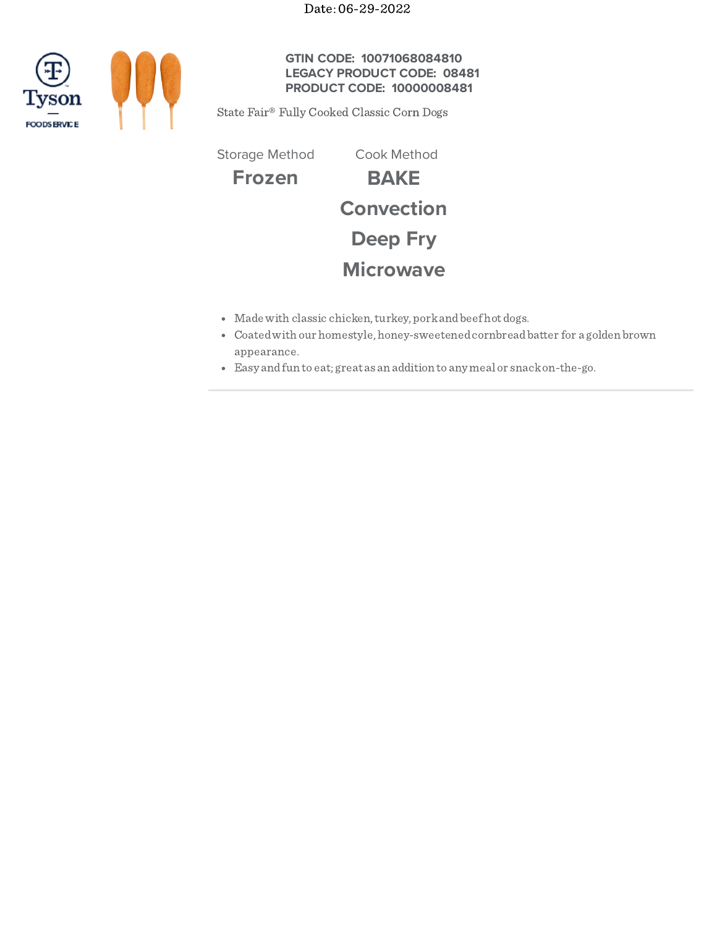Date: 06-29-2022



# **GTIN CODE: 10071068084810 LEGACY PRODUCT CODE: 08481 PRODUCT CODE: 10000008481**

State Fair® Fully Cooked Classic Corn Dogs

**Frozen BAKE Convection Deep Fry Microwave** Storage Method Cook Method

- Made with classic chicken, turkey, pork and beef hot dogs.
- Coatedwith our homestyle, honey-sweetenedcornbreadbatter for a golden brown appearance.
- Easy andfun to eat; great as an addition to any meal or snackon-the-go.